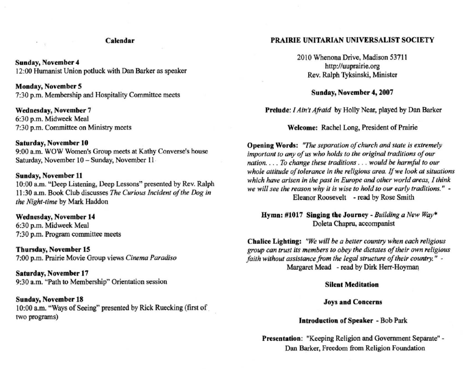## Calendar

Sunday, November 4 12:00 Humanist Union potluck with Dan Barker as speaker

Monday, November *5*  7:30 p.m. Membership and Hospitality Committee meets

Wednesday, November 7 6:30 p.m. Midweek Meal 7:30 p.m. Committee on Ministry meets

## Saturday, November 10

 $\overline{\phantom{a}}$ 

9:00 a.m. WOW Women's Group meets at Kathy Converse's house Saturday, November 10 - Sunday, November 11

## Sunday, November 11

10:00 a.m. "Ueep Listening, Deep Lessons" presented by Rev. Ralph 11 :30 a.m. Book Club discusses *The Curious Incident of the Dog in the Nighl-time* by Mark Haddon

Wednesday, November 14 6:30 p.m. Midweek Meal 7:30 p.m. Program committee meets

Thursday, November 15 7:00 p.m. Prairie Movie Group views *Cinema Paradiso* 

Saturday, November 17 9:30 a.m. "Path to Membership" Orientation session

Sunday, November 18 10:00 a.m. "Ways of Seeing" presented by Rick Ruecking (first of. two programs)

# PRAIRIE UNITARIAN UNIVERSALIST SOCIETY

2010 Whenona Drive, Madison 53711 http://uuprairie.org Rev. Ralph Tyksinski, Minister

Sunday, November 4, 2007

Prelude: *I Ain't Afraid* by Holly Near, played by Dan Barker

Welcome: Rachel Long, President of Prairie

**Opening Words:** "The separation of church and state is extremely important to any of us who holds to the original traditions of our *nation .* .. . *To change these traditions .* .. *would be harmful to our*  whole attitude of tolerance in the religious area. If we look at situations *which have arisen in the past in Europe and other world areas, I think*  we will see the reason why it is wise to hold to our early traditions." -Eleanor Roosevelt - read by Rose Smith

Hymn: #1017 Singing tbe Journey - *Bllilding a New Way·*  Dolela Chapru, accompanist

Chalice Lighting: *"We will be a better country when each religious group can trust its members to obey the dictates a/their own religious faith without assistance from the legal structure of their country." -*Margaret Mead - read by Dirk Herr-Hoyman

## Silent Meditation

# Joys and Concerns

# Introduction of Speaker - Bob Park

Presentation: "Keeping Religion and Government Separate" -Dan Barker, Freedom from Religion Foundation